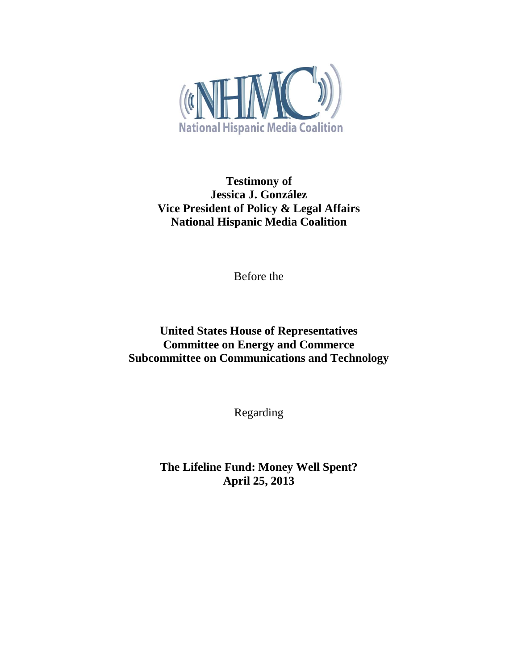

**Testimony of Jessica J. González Vice President of Policy & Legal Affairs National Hispanic Media Coalition**

Before the

# **United States House of Representatives Committee on Energy and Commerce Subcommittee on Communications and Technology**

Regarding

**The Lifeline Fund: Money Well Spent? April 25, 2013**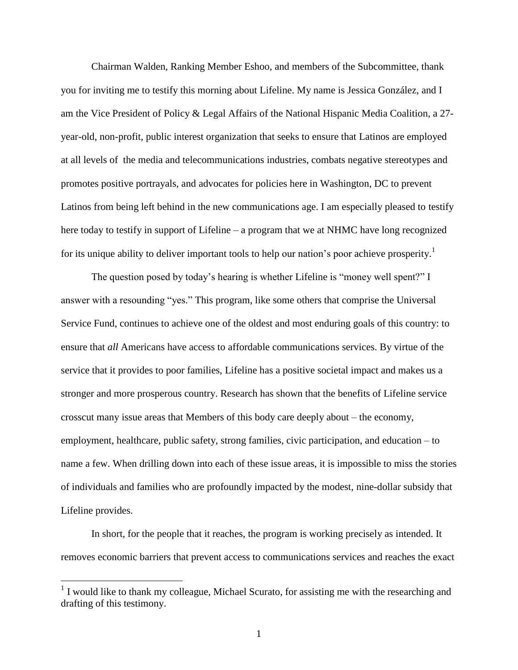Chairman Walden, Ranking Member Eshoo, and members of the Subcommittee, thank you for inviting me to testify this morning about Lifeline. My name is Jessica González, and I am the Vice President of Policy & Legal Affairs of the National Hispanic Media Coalition, a 27 year-old, non-profit, public interest organization that seeks to ensure that Latinos are employed at all levels of the media and telecommunications industries, combats negative stereotypes and promotes positive portrayals, and advocates for policies here in Washington, DC to prevent Latinos from being left behind in the new communications age. I am especially pleased to testify here today to testify in support of Lifeline – a program that we at NHMC have long recognized for its unique ability to deliver important tools to help our nation's poor achieve prosperity.<sup>1</sup>

The question posed by today's hearing is whether Lifeline is "money well spent?" I answer with a resounding "yes." This program, like some others that comprise the Universal Service Fund, continues to achieve one of the oldest and most enduring goals of this country: to ensure that *all* Americans have access to affordable communications services. By virtue of the service that it provides to poor families, Lifeline has a positive societal impact and makes us a stronger and more prosperous country. Research has shown that the benefits of Lifeline service crosscut many issue areas that Members of this body care deeply about – the economy, employment, healthcare, public safety, strong families, civic participation, and education – to name a few. When drilling down into each of these issue areas, it is impossible to miss the stories of individuals and families who are profoundly impacted by the modest, nine-dollar subsidy that Lifeline provides.

In short, for the people that it reaches, the program is working precisely as intended. It removes economic barriers that prevent access to communications services and reaches the exact

<sup>&</sup>lt;sup>1</sup> I would like to thank my colleague, Michael Scurato, for assisting me with the researching and drafting of this testimony.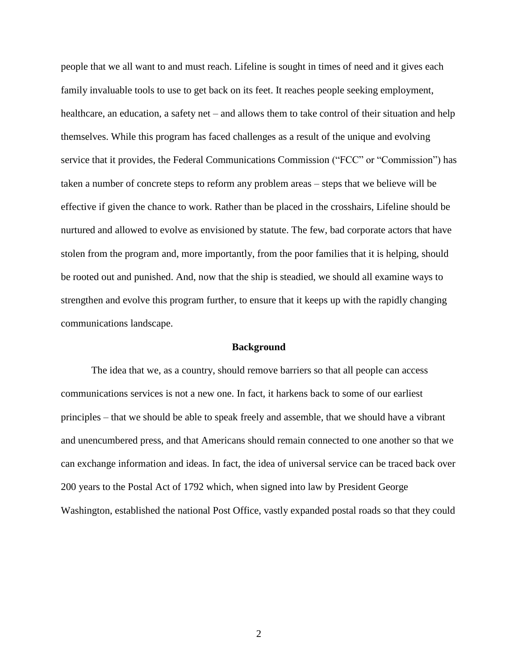people that we all want to and must reach. Lifeline is sought in times of need and it gives each family invaluable tools to use to get back on its feet. It reaches people seeking employment, healthcare, an education, a safety net – and allows them to take control of their situation and help themselves. While this program has faced challenges as a result of the unique and evolving service that it provides, the Federal Communications Commission ("FCC" or "Commission") has taken a number of concrete steps to reform any problem areas – steps that we believe will be effective if given the chance to work. Rather than be placed in the crosshairs, Lifeline should be nurtured and allowed to evolve as envisioned by statute. The few, bad corporate actors that have stolen from the program and, more importantly, from the poor families that it is helping, should be rooted out and punished. And, now that the ship is steadied, we should all examine ways to strengthen and evolve this program further, to ensure that it keeps up with the rapidly changing communications landscape.

#### **Background**

The idea that we, as a country, should remove barriers so that all people can access communications services is not a new one. In fact, it harkens back to some of our earliest principles – that we should be able to speak freely and assemble, that we should have a vibrant and unencumbered press, and that Americans should remain connected to one another so that we can exchange information and ideas. In fact, the idea of universal service can be traced back over 200 years to the Postal Act of 1792 which, when signed into law by President George Washington, established the national Post Office, vastly expanded postal roads so that they could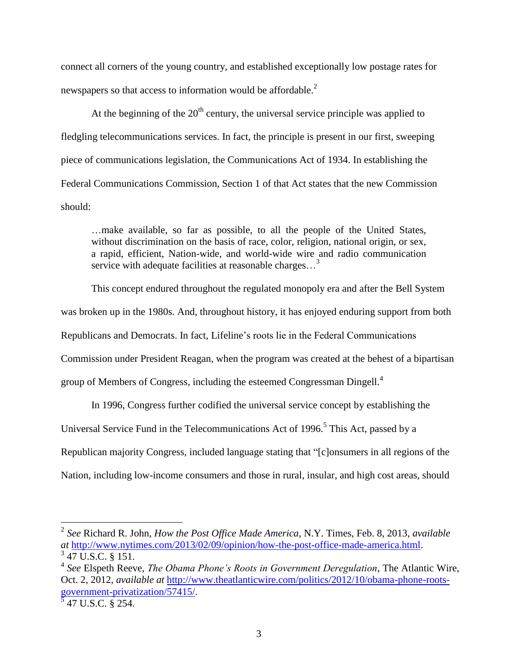connect all corners of the young country, and established exceptionally low postage rates for newspapers so that access to information would be affordable.<sup>2</sup>

At the beginning of the  $20<sup>th</sup>$  century, the universal service principle was applied to fledgling telecommunications services. In fact, the principle is present in our first, sweeping piece of communications legislation, the Communications Act of 1934. In establishing the Federal Communications Commission, Section 1 of that Act states that the new Commission should:

…make available, so far as possible, to all the people of the United States, without discrimination on the basis of race, color, religion, national origin, or sex, a rapid, efficient, Nation-wide, and world-wide wire and radio communication service with adequate facilities at reasonable charges...<sup>3</sup>

This concept endured throughout the regulated monopoly era and after the Bell System was broken up in the 1980s. And, throughout history, it has enjoyed enduring support from both Republicans and Democrats. In fact, Lifeline's roots lie in the Federal Communications Commission under President Reagan, when the program was created at the behest of a bipartisan group of Members of Congress, including the esteemed Congressman Dingell.<sup>4</sup>

In 1996, Congress further codified the universal service concept by establishing the

Universal Service Fund in the Telecommunications Act of 1996.<sup>5</sup> This Act, passed by a

Republican majority Congress, included language stating that "[c]onsumers in all regions of the

Nation, including low-income consumers and those in rural, insular, and high cost areas, should

<sup>2</sup> *See* Richard R. John, *How the Post Office Made America*, N.Y. Times, Feb. 8, 2013, *available at* [http://www.nytimes.com/2013/02/09/opinion/how-the-post-office-made-america.html.](http://www.nytimes.com/2013/02/09/opinion/how-the-post-office-made-america.html)

<sup>&</sup>lt;sup>3</sup> 47 U.S.C. § 151.

<sup>4</sup> *See* Elspeth Reeve, *The Obama Phone's Roots in Government Deregulation*, The Atlantic Wire, Oct. 2, 2012, *available at* [http://www.theatlanticwire.com/politics/2012/10/obama-phone-roots](http://www.theatlanticwire.com/politics/2012/10/obama-phone-roots-government-privatization/57415/)[government-privatization/57415/.](http://www.theatlanticwire.com/politics/2012/10/obama-phone-roots-government-privatization/57415/)

 $\frac{5}{5}$  47 U.S.C. § 254.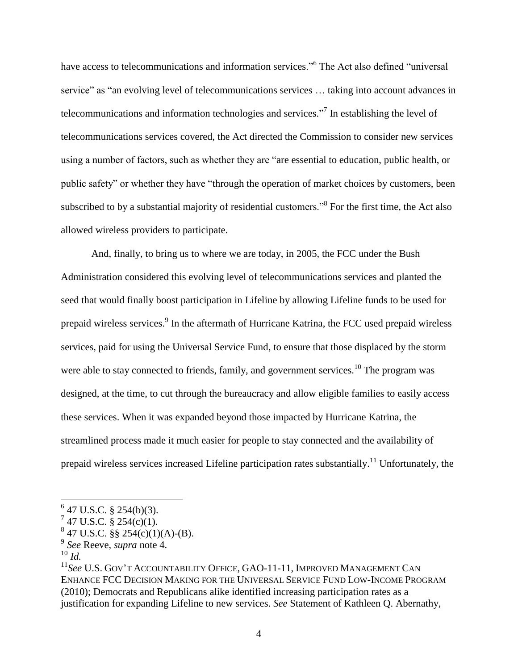have access to telecommunications and information services."<sup>6</sup> The Act also defined "universal service" as "an evolving level of telecommunications services … taking into account advances in telecommunications and information technologies and services."<sup>7</sup> In establishing the level of telecommunications services covered, the Act directed the Commission to consider new services using a number of factors, such as whether they are "are essential to education, public health, or public safety" or whether they have "through the operation of market choices by customers, been subscribed to by a substantial majority of residential customers."<sup>8</sup> For the first time, the Act also allowed wireless providers to participate.

And, finally, to bring us to where we are today, in 2005, the FCC under the Bush Administration considered this evolving level of telecommunications services and planted the seed that would finally boost participation in Lifeline by allowing Lifeline funds to be used for prepaid wireless services.<sup>9</sup> In the aftermath of Hurricane Katrina, the FCC used prepaid wireless services, paid for using the Universal Service Fund, to ensure that those displaced by the storm were able to stay connected to friends, family, and government services.<sup>10</sup> The program was designed, at the time, to cut through the bureaucracy and allow eligible families to easily access these services. When it was expanded beyond those impacted by Hurricane Katrina, the streamlined process made it much easier for people to stay connected and the availability of prepaid wireless services increased Lifeline participation rates substantially.<sup>11</sup> Unfortunately, the

<sup>10</sup> *Id.*

 $647$  U.S.C. § 254(b)(3).

 $747$  U.S.C. § 254(c)(1).

 $847$  U.S.C. §§ 254(c)(1)(A)-(B).

<sup>9</sup> *See* Reeve, *supra* note 4.

<sup>11</sup>*See* U.S. GOV'T ACCOUNTABILITY OFFICE, GAO-11-11, IMPROVED MANAGEMENT CAN ENHANCE FCC DECISION MAKING FOR THE UNIVERSAL SERVICE FUND LOW-INCOME PROGRAM (2010); Democrats and Republicans alike identified increasing participation rates as a justification for expanding Lifeline to new services. *See* Statement of Kathleen Q. Abernathy,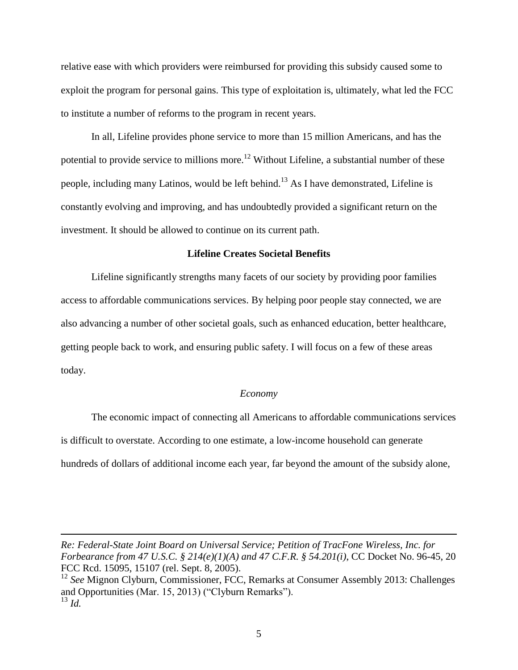relative ease with which providers were reimbursed for providing this subsidy caused some to exploit the program for personal gains. This type of exploitation is, ultimately, what led the FCC to institute a number of reforms to the program in recent years.

In all, Lifeline provides phone service to more than 15 million Americans, and has the potential to provide service to millions more.<sup>12</sup> Without Lifeline, a substantial number of these people, including many Latinos, would be left behind.<sup>13</sup> As I have demonstrated, Lifeline is constantly evolving and improving, and has undoubtedly provided a significant return on the investment. It should be allowed to continue on its current path.

### **Lifeline Creates Societal Benefits**

Lifeline significantly strengths many facets of our society by providing poor families access to affordable communications services. By helping poor people stay connected, we are also advancing a number of other societal goals, such as enhanced education, better healthcare, getting people back to work, and ensuring public safety. I will focus on a few of these areas today.

#### *Economy*

The economic impact of connecting all Americans to affordable communications services is difficult to overstate. According to one estimate, a low-income household can generate hundreds of dollars of additional income each year, far beyond the amount of the subsidy alone,

*Re: Federal-State Joint Board on Universal Service; Petition of TracFone Wireless, Inc. for Forbearance from 47 U.S.C. § 214(e)(1)(A) and 47 C.F.R. § 54.201(i)*, CC Docket No. 96-45, 20 FCC Rcd. 15095, 15107 (rel. Sept. 8, 2005).

 $\overline{a}$ 

<sup>12</sup> *See* Mignon Clyburn, Commissioner, FCC, Remarks at Consumer Assembly 2013: Challenges and Opportunities (Mar. 15, 2013) ("Clyburn Remarks"). <sup>13</sup> *Id.*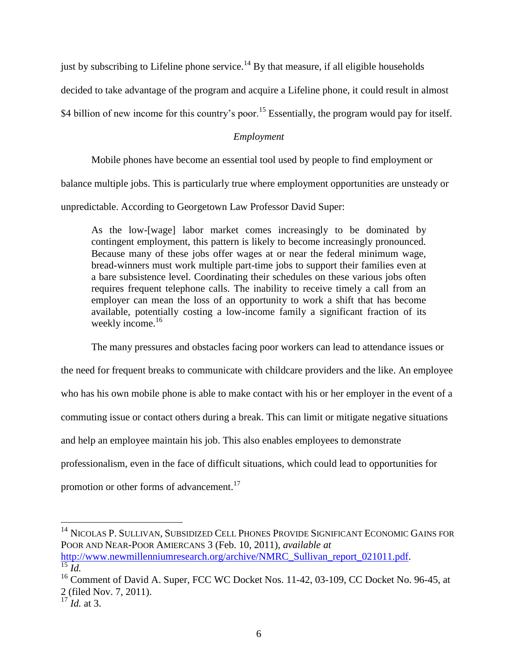just by subscribing to Lifeline phone service.<sup>14</sup> By that measure, if all eligible households

decided to take advantage of the program and acquire a Lifeline phone, it could result in almost

\$4 billion of new income for this country's poor.<sup>15</sup> Essentially, the program would pay for itself.

### *Employment*

Mobile phones have become an essential tool used by people to find employment or

balance multiple jobs. This is particularly true where employment opportunities are unsteady or

unpredictable. According to Georgetown Law Professor David Super:

As the low-[wage] labor market comes increasingly to be dominated by contingent employment, this pattern is likely to become increasingly pronounced. Because many of these jobs offer wages at or near the federal minimum wage, bread-winners must work multiple part-time jobs to support their families even at a bare subsistence level. Coordinating their schedules on these various jobs often requires frequent telephone calls. The inability to receive timely a call from an employer can mean the loss of an opportunity to work a shift that has become available, potentially costing a low-income family a significant fraction of its weekly income.<sup>16</sup>

The many pressures and obstacles facing poor workers can lead to attendance issues or

the need for frequent breaks to communicate with childcare providers and the like. An employee who has his own mobile phone is able to make contact with his or her employer in the event of a commuting issue or contact others during a break. This can limit or mitigate negative situations and help an employee maintain his job. This also enables employees to demonstrate professionalism, even in the face of difficult situations, which could lead to opportunities for promotion or other forms of advancement.<sup>17</sup>

 $\overline{a}$ <sup>14</sup> NICOLAS P. SULLIVAN, SUBSIDIZED CELL PHONES PROVIDE SIGNIFICANT ECONOMIC GAINS FOR POOR AND NEAR-POOR AMIERCANS 3 (Feb. 10, 2011), *available at*  [http://www.newmillenniumresearch.org/archive/NMRC\\_Sullivan\\_report\\_021011.pdf.](http://www.newmillenniumresearch.org/archive/NMRC_Sullivan_report_021011.pdf)

 $\overline{^{15}}$   $\overline{l}d$ .

 $16$  Comment of David A. Super, FCC WC Docket Nos. 11-42, 03-109, CC Docket No. 96-45, at 2 (filed Nov. 7, 2011).

 $\overline{17}$  *Id.* at 3.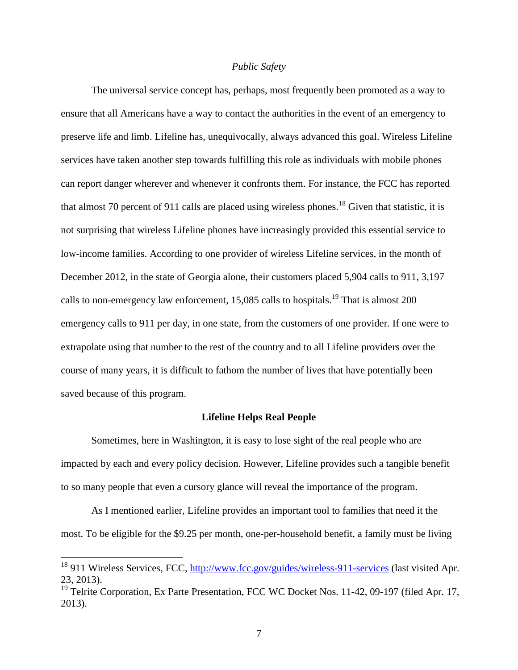#### *Public Safety*

The universal service concept has, perhaps, most frequently been promoted as a way to ensure that all Americans have a way to contact the authorities in the event of an emergency to preserve life and limb. Lifeline has, unequivocally, always advanced this goal. Wireless Lifeline services have taken another step towards fulfilling this role as individuals with mobile phones can report danger wherever and whenever it confronts them. For instance, the FCC has reported that almost 70 percent of 911 calls are placed using wireless phones.<sup>18</sup> Given that statistic, it is not surprising that wireless Lifeline phones have increasingly provided this essential service to low-income families. According to one provider of wireless Lifeline services, in the month of December 2012, in the state of Georgia alone, their customers placed 5,904 calls to 911, 3,197 calls to non-emergency law enforcement,  $15,085$  calls to hospitals.<sup>19</sup> That is almost 200 emergency calls to 911 per day, in one state, from the customers of one provider. If one were to extrapolate using that number to the rest of the country and to all Lifeline providers over the course of many years, it is difficult to fathom the number of lives that have potentially been saved because of this program.

#### **Lifeline Helps Real People**

Sometimes, here in Washington, it is easy to lose sight of the real people who are impacted by each and every policy decision. However, Lifeline provides such a tangible benefit to so many people that even a cursory glance will reveal the importance of the program.

As I mentioned earlier, Lifeline provides an important tool to families that need it the most. To be eligible for the \$9.25 per month, one-per-household benefit, a family must be living

<sup>&</sup>lt;sup>18</sup> 911 Wireless Services, FCC,<http://www.fcc.gov/guides/wireless-911-services> (last visited Apr. 23, 2013).

<sup>&</sup>lt;sup>19</sup> Telrite Corporation, Ex Parte Presentation, FCC WC Docket Nos. 11-42, 09-197 (filed Apr. 17, 2013).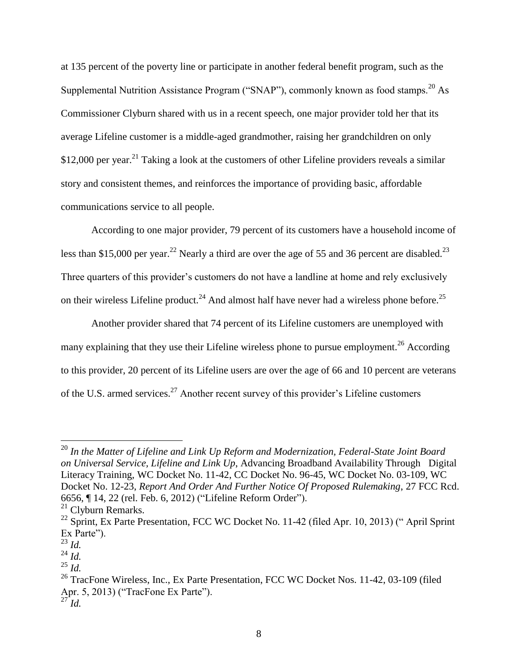at 135 percent of the poverty line or participate in another federal benefit program, such as the Supplemental Nutrition Assistance Program ("SNAP"), commonly known as food stamps.<sup>20</sup> As Commissioner Clyburn shared with us in a recent speech, one major provider told her that its average Lifeline customer is a middle-aged grandmother, raising her grandchildren on only  $$12,000$  per year.<sup>21</sup> Taking a look at the customers of other Lifeline providers reveals a similar story and consistent themes, and reinforces the importance of providing basic, affordable communications service to all people.

According to one major provider, 79 percent of its customers have a household income of less than \$15,000 per year.<sup>22</sup> Nearly a third are over the age of 55 and 36 percent are disabled.<sup>23</sup> Three quarters of this provider's customers do not have a landline at home and rely exclusively on their wireless Lifeline product.<sup>24</sup> And almost half have never had a wireless phone before.<sup>25</sup>

Another provider shared that 74 percent of its Lifeline customers are unemployed with many explaining that they use their Lifeline wireless phone to pursue employment.<sup>26</sup> According to this provider, 20 percent of its Lifeline users are over the age of 66 and 10 percent are veterans of the U.S. armed services.<sup>27</sup> Another recent survey of this provider's Lifeline customers

<sup>20</sup> *In the Matter of Lifeline and Link Up Reform and Modernization, Federal-State Joint Board on Universal Service, Lifeline and Link Up*, Advancing Broadband Availability Through Digital Literacy Training, WC Docket No. 11-42, CC Docket No. 96-45, WC Docket No. 03-109, WC Docket No. 12-23, *Report And Order And Further Notice Of Proposed Rulemaking*, 27 FCC Rcd. 6656, ¶ 14, 22 (rel. Feb. 6, 2012) ("Lifeline Reform Order").

<sup>21</sup> Clyburn Remarks.

 $^{22}$  Sprint, Ex Parte Presentation, FCC WC Docket No. 11-42 (filed Apr. 10, 2013) ("April Sprint" Ex Parte").

<sup>23</sup> *Id.*

<sup>24</sup> *Id.*

<sup>25</sup> *Id.*

<sup>&</sup>lt;sup>26</sup> TracFone Wireless, Inc., Ex Parte Presentation, FCC WC Docket Nos. 11-42, 03-109 (filed Apr. 5, 2013) ("TracFone Ex Parte"). <sup>27</sup> *Id.*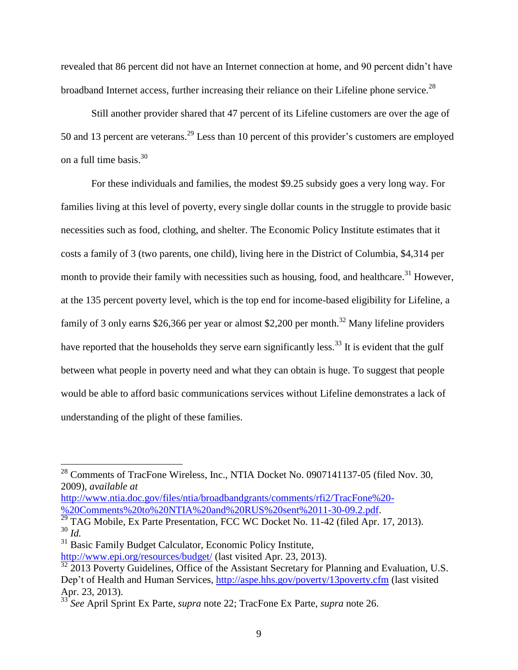revealed that 86 percent did not have an Internet connection at home, and 90 percent didn't have broadband Internet access, further increasing their reliance on their Lifeline phone service.<sup>28</sup>

Still another provider shared that 47 percent of its Lifeline customers are over the age of 50 and 13 percent are veterans.<sup>29</sup> Less than 10 percent of this provider's customers are employed on a full time basis. $30$ 

For these individuals and families, the modest \$9.25 subsidy goes a very long way. For families living at this level of poverty, every single dollar counts in the struggle to provide basic necessities such as food, clothing, and shelter. The Economic Policy Institute estimates that it costs a family of 3 (two parents, one child), living here in the District of Columbia, \$4,314 per month to provide their family with necessities such as housing, food, and healthcare.<sup>31</sup> However, at the 135 percent poverty level, which is the top end for income-based eligibility for Lifeline, a family of 3 only earns \$26,366 per year or almost \$2,200 per month.<sup>32</sup> Many lifeline providers have reported that the households they serve earn significantly less.<sup>33</sup> It is evident that the gulf between what people in poverty need and what they can obtain is huge. To suggest that people would be able to afford basic communications services without Lifeline demonstrates a lack of understanding of the plight of these families.

[http://www.ntia.doc.gov/files/ntia/broadbandgrants/comments/rfi2/TracFone%20-](http://www.ntia.doc.gov/files/ntia/broadbandgrants/comments/rfi2/TracFone%20-%20Comments%20to%20NTIA%20and%20RUS%20sent%2011-30-09.2.pdf) [%20Comments%20to%20NTIA%20and%20RUS%20sent%2011-30-09.2.pdf.](http://www.ntia.doc.gov/files/ntia/broadbandgrants/comments/rfi2/TracFone%20-%20Comments%20to%20NTIA%20and%20RUS%20sent%2011-30-09.2.pdf)

 $^{28}$  Comments of TracFone Wireless, Inc., NTIA Docket No. 0907141137-05 (filed Nov. 30, 2009), *available at* 

 $\frac{29}{29}$  TAG Mobile, Ex Parte Presentation, FCC WC Docket No. 11-42 (filed Apr. 17, 2013). <sup>30</sup> *Id.*

<sup>&</sup>lt;sup>31</sup> Basic Family Budget Calculator, Economic Policy Institute,

<http://www.epi.org/resources/budget/> (last visited Apr. 23, 2013).

<sup>&</sup>lt;sup>32</sup> 2013 Poverty Guidelines, Office of the Assistant Secretary for Planning and Evaluation, U.S. Dep't of Health and Human Services,<http://aspe.hhs.gov/poverty/13poverty.cfm> (last visited Apr. 23, 2013).

<sup>33</sup> *See* April Sprint Ex Parte, *supra* note 22; TracFone Ex Parte, *supra* note 26.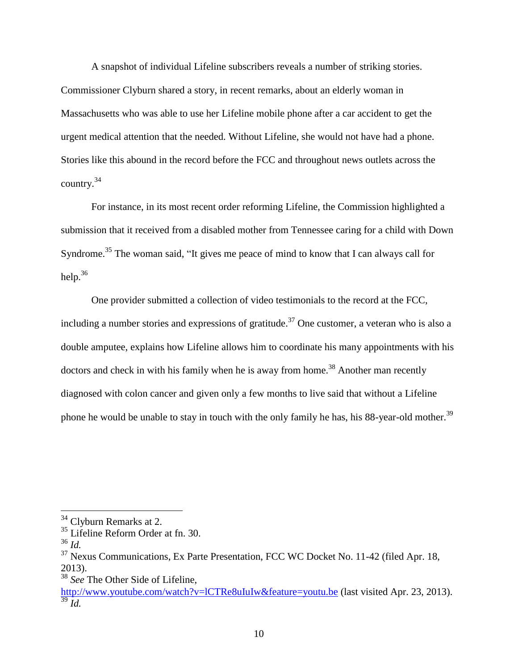A snapshot of individual Lifeline subscribers reveals a number of striking stories. Commissioner Clyburn shared a story, in recent remarks, about an elderly woman in Massachusetts who was able to use her Lifeline mobile phone after a car accident to get the urgent medical attention that the needed. Without Lifeline, she would not have had a phone. Stories like this abound in the record before the FCC and throughout news outlets across the country.<sup>34</sup>

For instance, in its most recent order reforming Lifeline, the Commission highlighted a submission that it received from a disabled mother from Tennessee caring for a child with Down Syndrome.<sup>35</sup> The woman said, "It gives me peace of mind to know that I can always call for help.<sup>36</sup>

One provider submitted a collection of video testimonials to the record at the FCC, including a number stories and expressions of gratitude.<sup>37</sup> One customer, a veteran who is also a double amputee, explains how Lifeline allows him to coordinate his many appointments with his doctors and check in with his family when he is away from home.<sup>38</sup> Another man recently diagnosed with colon cancer and given only a few months to live said that without a Lifeline phone he would be unable to stay in touch with the only family he has, his 88-year-old mother.<sup>39</sup>

<sup>36</sup> *Id.*

 $34$  Clyburn Remarks at 2.

 $35$  Lifeline Reform Order at fn. 30.

<sup>&</sup>lt;sup>37</sup> Nexus Communications, Ex Parte Presentation, FCC WC Docket No. 11-42 (filed Apr. 18, 2013).

<sup>38</sup> *See* The Other Side of Lifeline,

<http://www.youtube.com/watch?v=lCTRe8uIuIw&feature=youtu.be> (last visited Apr. 23, 2013).  $\overline{39}$  *Id.*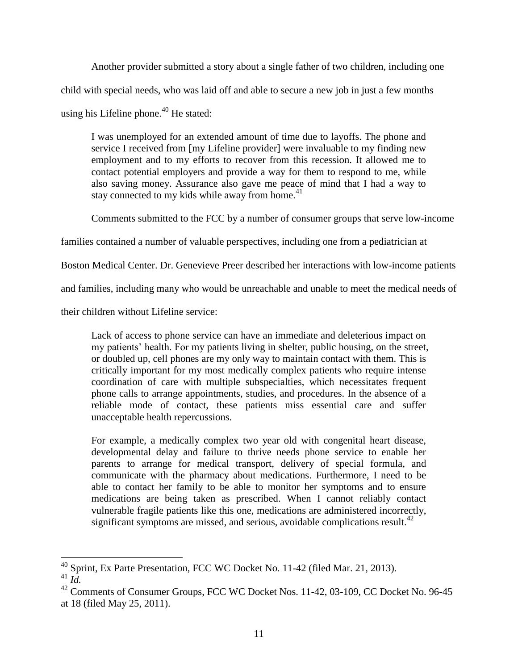Another provider submitted a story about a single father of two children, including one child with special needs, who was laid off and able to secure a new job in just a few months

using his Lifeline phone. $40$  He stated:

I was unemployed for an extended amount of time due to layoffs. The phone and service I received from [my Lifeline provider] were invaluable to my finding new employment and to my efforts to recover from this recession. It allowed me to contact potential employers and provide a way for them to respond to me, while also saving money. Assurance also gave me peace of mind that I had a way to stay connected to my kids while away from home. $41$ 

Comments submitted to the FCC by a number of consumer groups that serve low-income

families contained a number of valuable perspectives, including one from a pediatrician at

Boston Medical Center. Dr. Genevieve Preer described her interactions with low-income patients

and families, including many who would be unreachable and unable to meet the medical needs of

their children without Lifeline service:

Lack of access to phone service can have an immediate and deleterious impact on my patients' health. For my patients living in shelter, public housing, on the street, or doubled up, cell phones are my only way to maintain contact with them. This is critically important for my most medically complex patients who require intense coordination of care with multiple subspecialties, which necessitates frequent phone calls to arrange appointments, studies, and procedures. In the absence of a reliable mode of contact, these patients miss essential care and suffer unacceptable health repercussions.

For example, a medically complex two year old with congenital heart disease, developmental delay and failure to thrive needs phone service to enable her parents to arrange for medical transport, delivery of special formula, and communicate with the pharmacy about medications. Furthermore, I need to be able to contact her family to be able to monitor her symptoms and to ensure medications are being taken as prescribed. When I cannot reliably contact vulnerable fragile patients like this one, medications are administered incorrectly, significant symptoms are missed, and serious, avoidable complications result.<sup>42</sup>

 $\overline{a}$  $^{40}$  Sprint, Ex Parte Presentation, FCC WC Docket No. 11-42 (filed Mar. 21, 2013). <sup>41</sup> *Id.*

<sup>&</sup>lt;sup>42</sup> Comments of Consumer Groups, FCC WC Docket Nos. 11-42, 03-109, CC Docket No. 96-45 at 18 (filed May 25, 2011).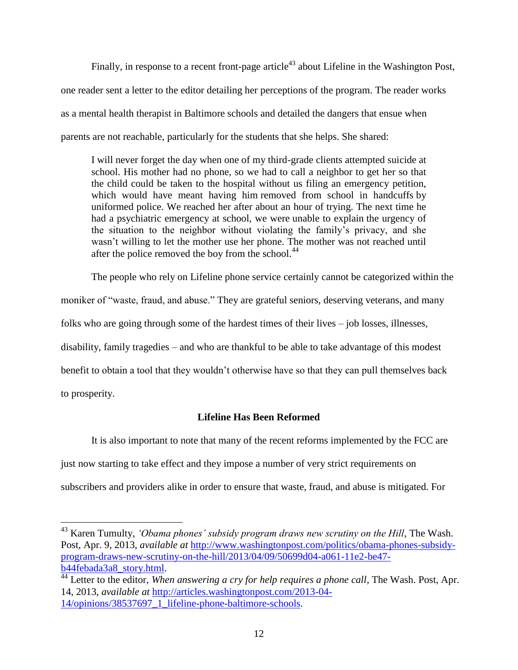Finally, in response to a recent front-page article<sup>43</sup> about Lifeline in the Washington Post, one reader sent a letter to the editor detailing her perceptions of the program. The reader works as a mental health therapist in Baltimore schools and detailed the dangers that ensue when parents are not reachable, particularly for the students that she helps. She shared:

I will never forget the day when one of my third-grade clients attempted suicide at school. His mother had no phone, so we had to call a neighbor to get her so that the child could be taken to the hospital without us filing an emergency petition, which would have meant having him removed from school in handcuffs by uniformed police. We reached her after about an hour of trying. The next time he had a psychiatric emergency at school, we were unable to explain the urgency of the situation to the neighbor without violating the family's privacy, and she wasn't willing to let the mother use her phone. The mother was not reached until after the police removed the boy from the school.<sup>44</sup>

The people who rely on Lifeline phone service certainly cannot be categorized within the moniker of "waste, fraud, and abuse." They are grateful seniors, deserving veterans, and many folks who are going through some of the hardest times of their lives – job losses, illnesses, disability, family tragedies – and who are thankful to be able to take advantage of this modest benefit to obtain a tool that they wouldn't otherwise have so that they can pull themselves back to prosperity.

### **Lifeline Has Been Reformed**

It is also important to note that many of the recent reforms implemented by the FCC are just now starting to take effect and they impose a number of very strict requirements on subscribers and providers alike in order to ensure that waste, fraud, and abuse is mitigated. For

<sup>43</sup> Karen Tumulty, *'Obama phones' subsidy program draws new scrutiny on the Hill*, The Wash. Post, Apr. 9, 2013, *available at* [http://www.washingtonpost.com/politics/obama-phones-subsidy](http://www.washingtonpost.com/politics/obama-phones-subsidy-program-draws-new-scrutiny-on-the-hill/2013/04/09/50699d04-a061-11e2-be47-b44febada3a8_story.html)[program-draws-new-scrutiny-on-the-hill/2013/04/09/50699d04-a061-11e2-be47](http://www.washingtonpost.com/politics/obama-phones-subsidy-program-draws-new-scrutiny-on-the-hill/2013/04/09/50699d04-a061-11e2-be47-b44febada3a8_story.html) [b44febada3a8\\_story.html.](http://www.washingtonpost.com/politics/obama-phones-subsidy-program-draws-new-scrutiny-on-the-hill/2013/04/09/50699d04-a061-11e2-be47-b44febada3a8_story.html)

<sup>&</sup>lt;sup>44</sup> Letter to the editor, *When answering a cry for help requires a phone call*, The Wash. Post, Apr. 14, 2013, *available at* [http://articles.washingtonpost.com/2013-04-](http://articles.washingtonpost.com/2013-04-14/opinions/38537697_1_lifeline-phone-baltimore-schools) [14/opinions/38537697\\_1\\_lifeline-phone-baltimore-schools.](http://articles.washingtonpost.com/2013-04-14/opinions/38537697_1_lifeline-phone-baltimore-schools)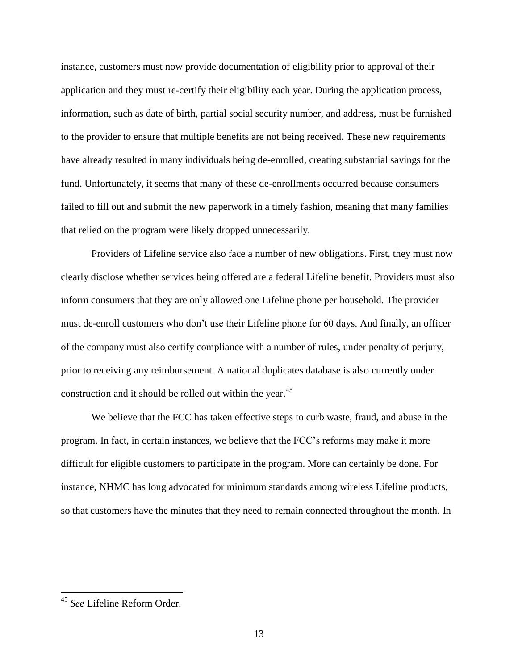instance, customers must now provide documentation of eligibility prior to approval of their application and they must re-certify their eligibility each year. During the application process, information, such as date of birth, partial social security number, and address, must be furnished to the provider to ensure that multiple benefits are not being received. These new requirements have already resulted in many individuals being de-enrolled, creating substantial savings for the fund. Unfortunately, it seems that many of these de-enrollments occurred because consumers failed to fill out and submit the new paperwork in a timely fashion, meaning that many families that relied on the program were likely dropped unnecessarily.

Providers of Lifeline service also face a number of new obligations. First, they must now clearly disclose whether services being offered are a federal Lifeline benefit. Providers must also inform consumers that they are only allowed one Lifeline phone per household. The provider must de-enroll customers who don't use their Lifeline phone for 60 days. And finally, an officer of the company must also certify compliance with a number of rules, under penalty of perjury, prior to receiving any reimbursement. A national duplicates database is also currently under construction and it should be rolled out within the year.<sup>45</sup>

We believe that the FCC has taken effective steps to curb waste, fraud, and abuse in the program. In fact, in certain instances, we believe that the FCC's reforms may make it more difficult for eligible customers to participate in the program. More can certainly be done. For instance, NHMC has long advocated for minimum standards among wireless Lifeline products, so that customers have the minutes that they need to remain connected throughout the month. In

<sup>45</sup> *See* Lifeline Reform Order.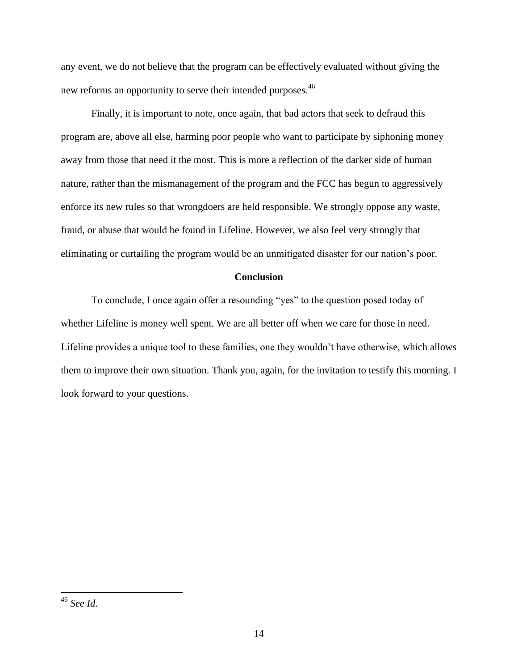any event, we do not believe that the program can be effectively evaluated without giving the new reforms an opportunity to serve their intended purposes.<sup>46</sup>

Finally, it is important to note, once again, that bad actors that seek to defraud this program are, above all else, harming poor people who want to participate by siphoning money away from those that need it the most. This is more a reflection of the darker side of human nature, rather than the mismanagement of the program and the FCC has begun to aggressively enforce its new rules so that wrongdoers are held responsible. We strongly oppose any waste, fraud, or abuse that would be found in Lifeline. However, we also feel very strongly that eliminating or curtailing the program would be an unmitigated disaster for our nation's poor.

## **Conclusion**

To conclude, I once again offer a resounding "yes" to the question posed today of whether Lifeline is money well spent. We are all better off when we care for those in need. Lifeline provides a unique tool to these families, one they wouldn't have otherwise, which allows them to improve their own situation. Thank you, again, for the invitation to testify this morning. I look forward to your questions.

<sup>46</sup> *See Id.*